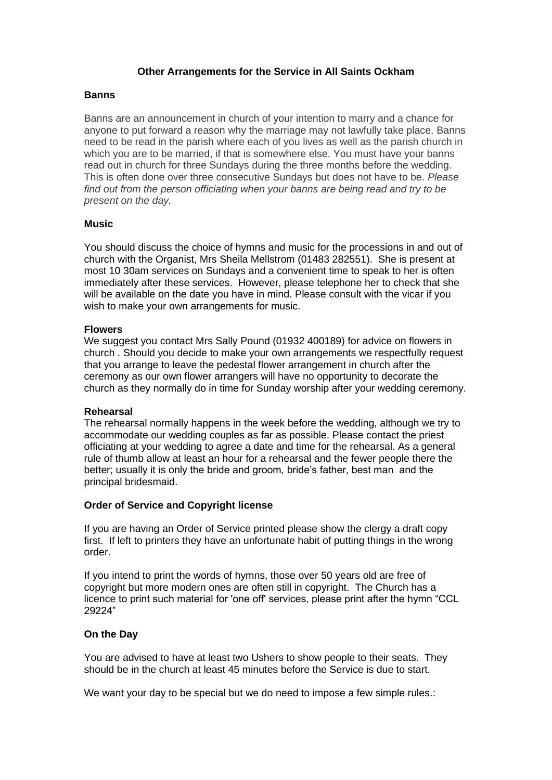## **Other Arrangements for the Service in All Saints Ockham**

### **Banns**

Banns are an announcement in church of your intention to marry and a chance for anyone to put forward a reason why the marriage may not lawfully take place. Banns need to be read in the parish where each of you lives as well as the parish church in which you are to be married, if that is somewhere else. You must have your banns read out in church for three Sundays during the three months before the wedding. This is often done over three consecutive Sundays but does not have to be. *Please find out from the person officiating when your banns are being read and try to be present on the day.*

## **Music**

You should discuss the choice of hymns and music for the processions in and out of church with the Organist, Mrs Sheila Mellstrom (01483 282551). She is present at most 10 30am services on Sundays and a convenient time to speak to her is often immediately after these services. However, please telephone her to check that she will be available on the date you have in mind. Please consult with the vicar if you wish to make your own arrangements for music.

#### **Flowers**

We suggest you contact Mrs Sally Pound (01932 400189) for advice on flowers in church . Should you decide to make your own arrangements we respectfully request that you arrange to leave the pedestal flower arrangement in church after the ceremony as our own flower arrangers will have no opportunity to decorate the church as they normally do in time for Sunday worship after your wedding ceremony.

#### **Rehearsal**

The rehearsal normally happens in the week before the wedding, although we try to accommodate our wedding couples as far as possible. Please contact the priest officiating at your wedding to agree a date and time for the rehearsal. As a general rule of thumb allow at least an hour for a rehearsal and the fewer people there the better; usually it is only the bride and groom, bride's father, best man and the principal bridesmaid.

# **Order of Service and Copyright license**

If you are having an Order of Service printed please show the clergy a draft copy first. If left to printers they have an unfortunate habit of putting things in the wrong order.

If you intend to print the words of hymns, those over 50 years old are free of copyright but more modern ones are often still in copyright. The Church has a licence to print such material for 'one off' services, please print after the hymn "CCL 29224"

# **On the Day**

You are advised to have at least two Ushers to show people to their seats. They should be in the church at least 45 minutes before the Service is due to start.

We want your day to be special but we do need to impose a few simple rules.: